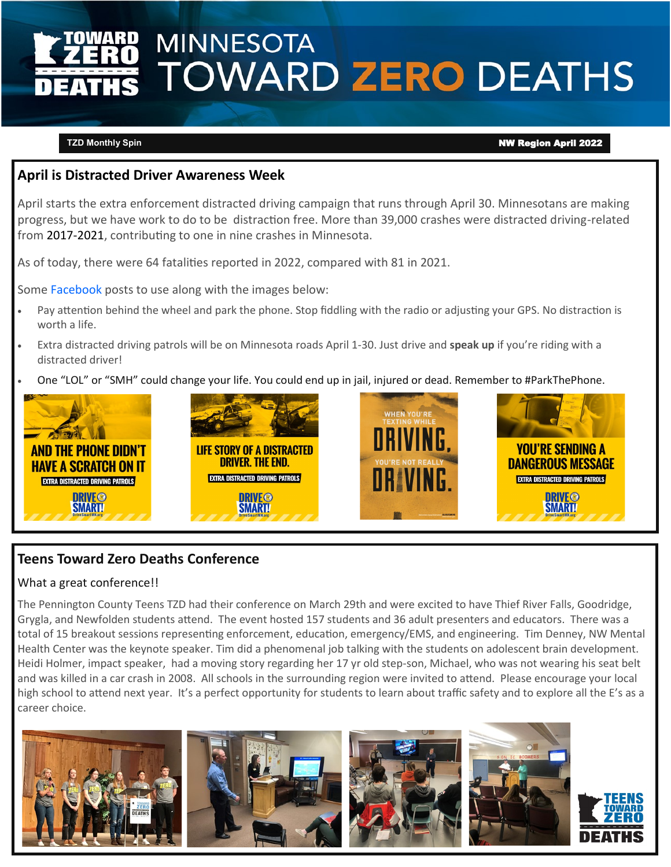## **MINNESOTA TOWARD ZERO DEATHS**

**TZD Monthly Spin** NW Region April 2022

#### **April is Distracted Driver Awareness Week**

April starts the extra enforcement distracted driving campaign that runs through April 30. Minnesotans are making progress, but we have work to do to be distraction free. More than 39,000 crashes were distracted driving-related from 2017-2021, contributing to one in nine crashes in Minnesota.

As of today, there were 64 fatalities reported in 2022, compared with 81 in 2021.

Some Facebook posts to use along with the images below:

- Pay attention behind the wheel and park the phone. Stop fiddling with the radio or adjusting your GPS. No distraction is worth a life.
- Extra distracted driving patrols will be on Minnesota roads April 1-30. Just drive and **speak up** if you're riding with a distracted driver!
- One "LOL" or "SMH" could change your life. You could end up in jail, injured or dead. Remember to #ParkThePhone.



### **Teens Toward Zero Deaths Conference**

#### What a great conference!!

The Pennington County Teens TZD had their conference on March 29th and were excited to have Thief River Falls, Goodridge, Grygla, and Newfolden students attend. The event hosted 157 students and 36 adult presenters and educators. There was a total of 15 breakout sessions representing enforcement, education, emergency/EMS, and engineering. Tim Denney, NW Mental Health Center was the keynote speaker. Tim did a phenomenal job talking with the students on adolescent brain development. Heidi Holmer, impact speaker, had a moving story regarding her 17 yr old step-son, Michael, who was not wearing his seat belt and was killed in a car crash in 2008. All schools in the surrounding region were invited to attend. Please encourage your local high school to attend next year. It's a perfect opportunity for students to learn about traffic safety and to explore all the E's as a career choice.